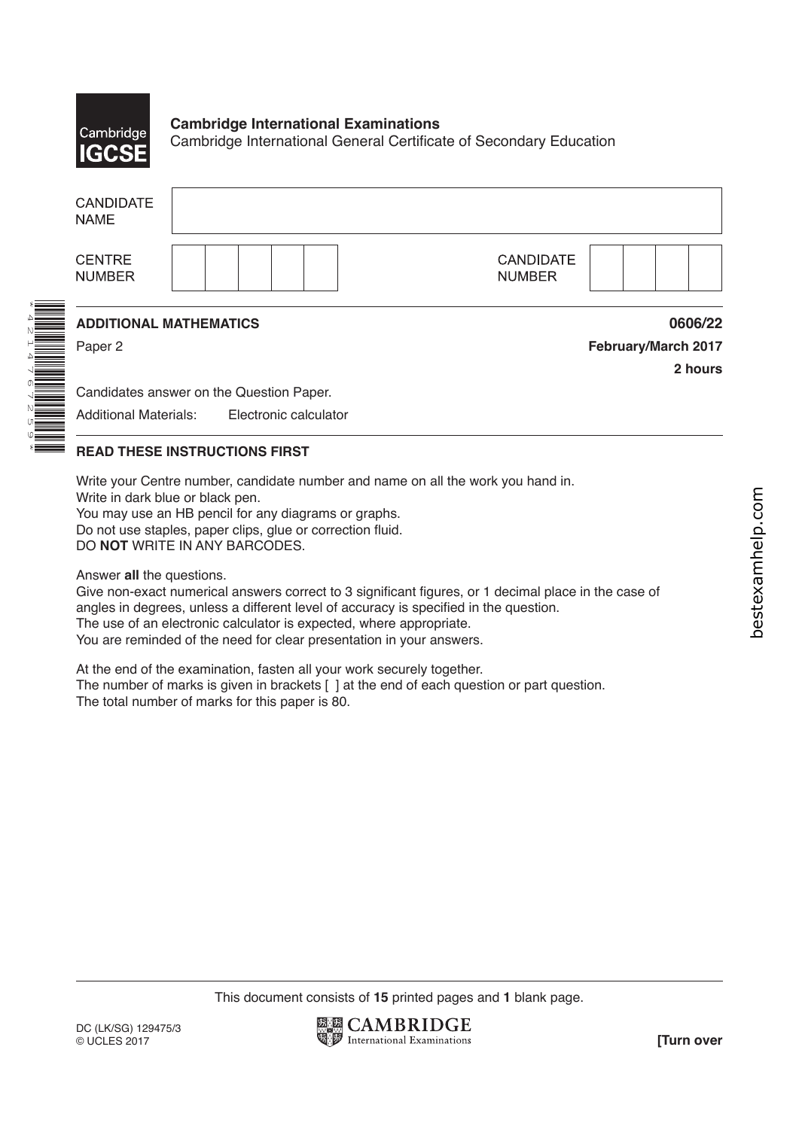

### **Cambridge International Examinations** Cambridge International General Certificate of Secondary Education

| <b>CANDIDATE</b><br><b>NAME</b>          |                                   |                     |
|------------------------------------------|-----------------------------------|---------------------|
| <b>CENTRE</b><br><b>NUMBER</b>           | <b>CANDIDATE</b><br><b>NUMBER</b> |                     |
| <b>ADDITIONAL MATHEMATICS</b>            |                                   | 0606/22             |
| Paper 2                                  |                                   | February/March 2017 |
|                                          |                                   | 2 hours             |
| Candidates answer on the Question Paper. |                                   |                     |
| <b>Additional Materials:</b>             | Electronic calculator             |                     |
|                                          |                                   |                     |

# **READ THESE INSTRUCTIONS FIRST**

Write your Centre number, candidate number and name on all the work you hand in.

Write in dark blue or black pen.

You may use an HB pencil for any diagrams or graphs. Do not use staples, paper clips, glue or correction fluid. DO **NOT** WRITE IN ANY BARCODES.

Answer **all** the questions.

Give non-exact numerical answers correct to 3 significant figures, or 1 decimal place in the case of angles in degrees, unless a different level of accuracy is specified in the question. The use of an electronic calculator is expected, where appropriate. You are reminded of the need for clear presentation in your answers.

At the end of the examination, fasten all your work securely together. The number of marks is given in brackets [ ] at the end of each question or part question. The total number of marks for this paper is 80.

This document consists of **15** printed pages and **1** blank page.

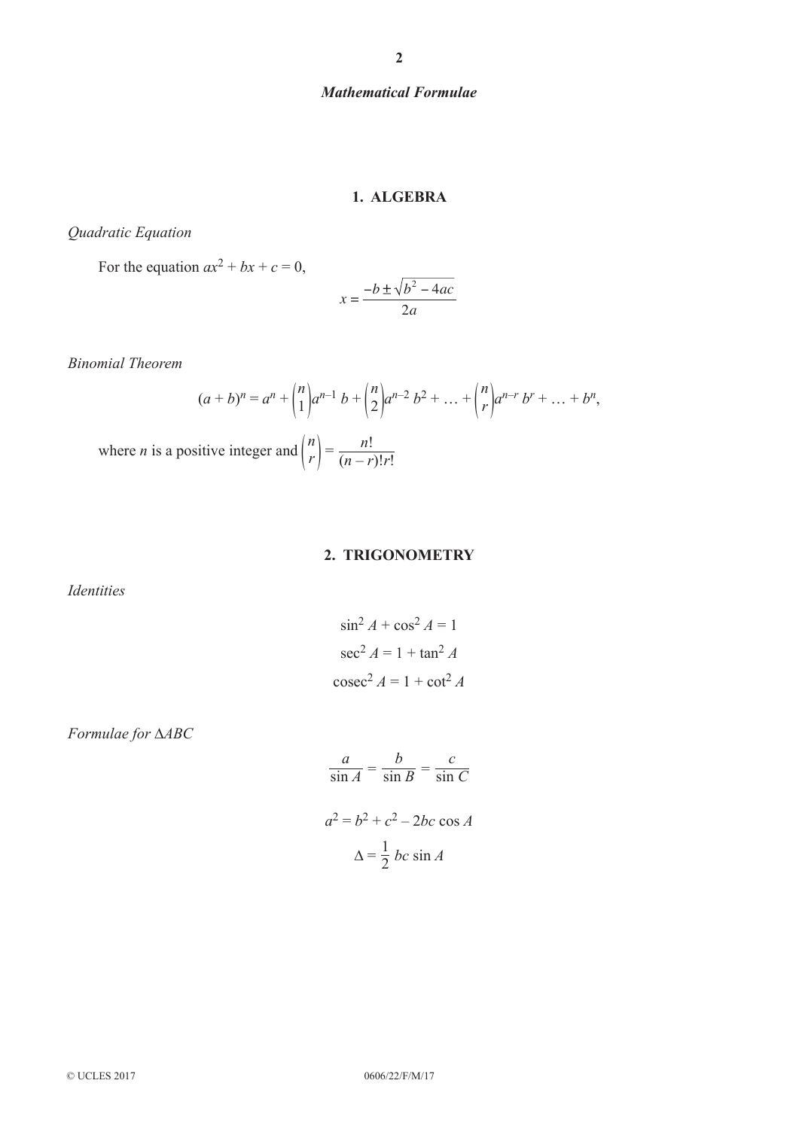### *Mathematical Formulae*

#### **1. ALGEBRA**

*Quadratic Equation*

For the equation  $ax^2 + bx + c = 0$ ,

$$
x = \frac{-b \pm \sqrt{b^2 - 4ac}}{2a}
$$

*Binomial Theorem*

$$
(a+b)^n = a^n + \binom{n}{1}a^{n-1}b + \binom{n}{2}a^{n-2}b^2 + \dots + \binom{n}{r}a^{n-r}b^r + \dots + b^n,
$$
  
where *n* is a positive integer and 
$$
\binom{n}{r} = \frac{n!}{(n-r)!r!}
$$

## **2. TRIGONOMETRY**

*Identities*

$$
\sin^2 A + \cos^2 A = 1
$$

$$
\sec^2 A = 1 + \tan^2 A
$$

$$
\csc^2 A = 1 + \cot^2 A
$$

*Formulae for* ∆*ABC*

$$
\frac{a}{\sin A} = \frac{b}{\sin B} = \frac{c}{\sin C}
$$

$$
a^2 = b^2 + c^2 - 2bc \cos A
$$

$$
\Delta = \frac{1}{2} bc \sin A
$$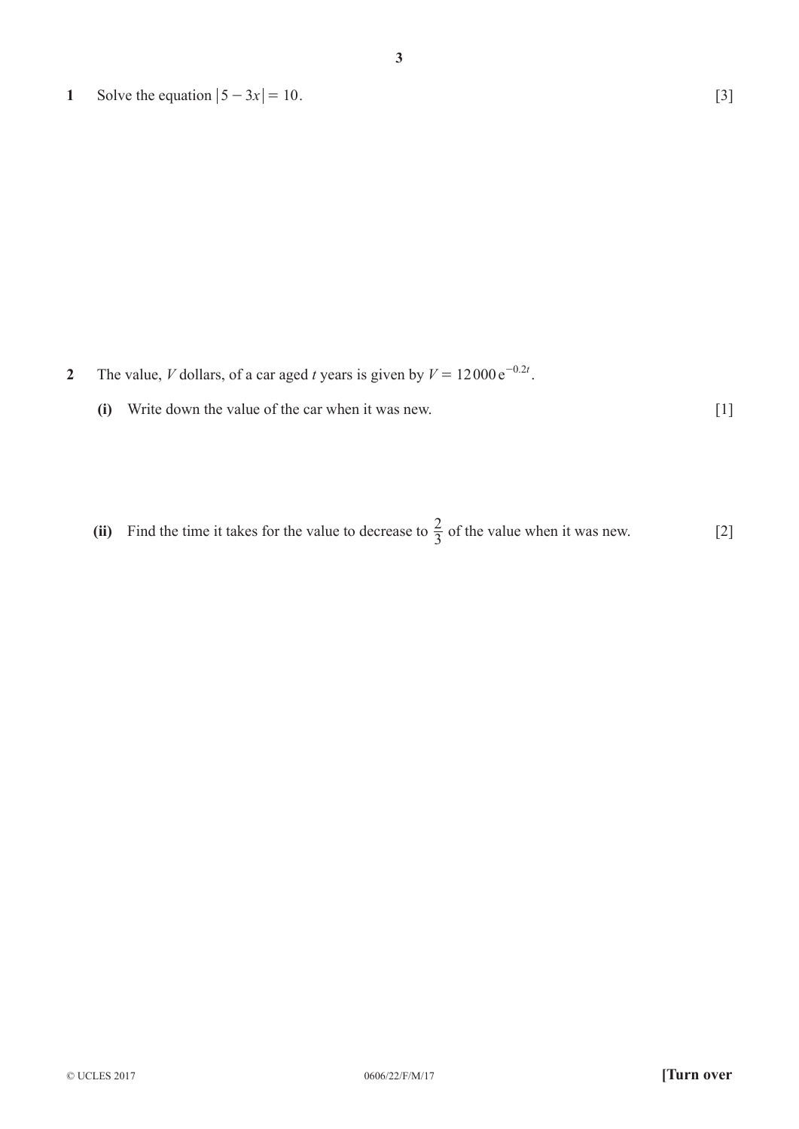**1** Solve the equation  $|5 - 3x| = 10$ . [3]

**2** The value, *V* dollars, of a car aged *t* years is given by  $V = 12000 e^{-0.2t}$ .

**(i)** Write down the value of the car when it was new. [1]

(ii) Find the time it takes for the value to decrease to 
$$
\frac{2}{3}
$$
 of the value when it was new. [2]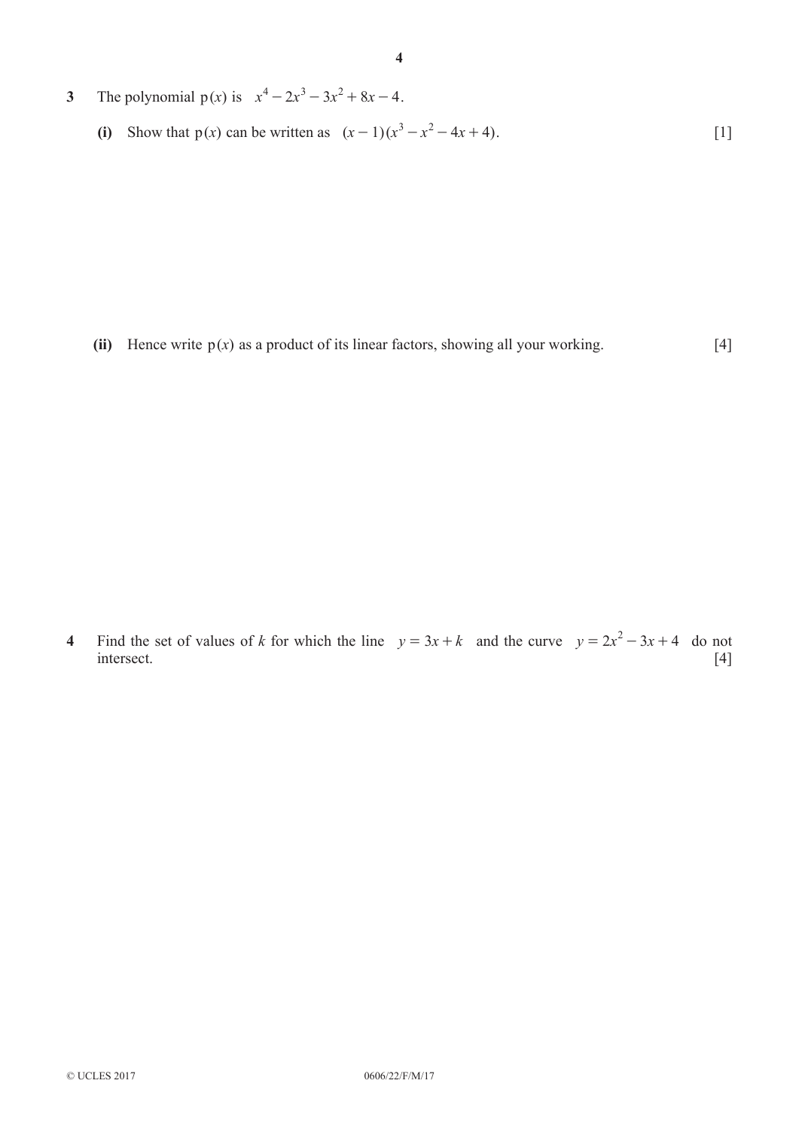- **3** The polynomial  $p(x)$  is  $x^4 2x^3 3x^2 + 8x 4$ .
	- **(i)** Show that  $p(x)$  can be written as  $(x-1)(x^3 x^2 4x + 4)$ . [1]

(ii) Hence write  $p(x)$  as a product of its linear factors, showing all your working. [4]

**4** Find the set of values of *k* for which the line  $y = 3x + k$  and the curve  $y = 2x^2 - 3x + 4$  do not intersect. [4]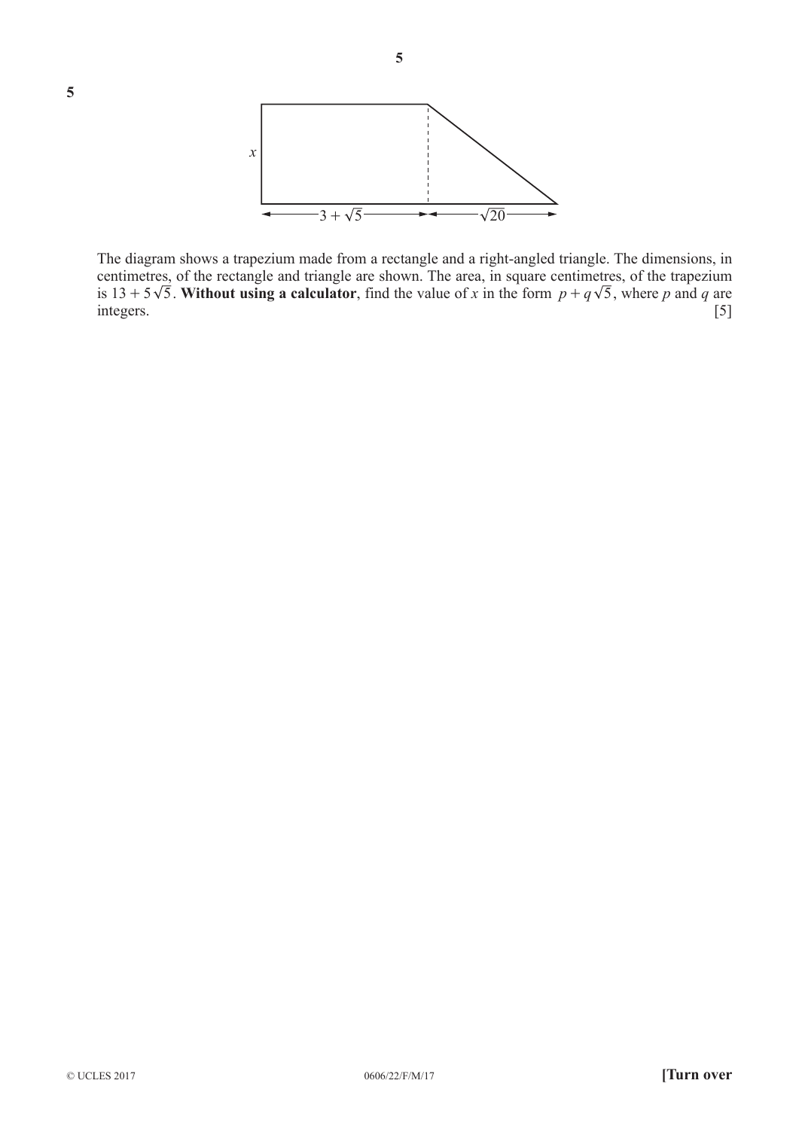

**5**

The diagram shows a trapezium made from a rectangle and a right-angled triangle. The dimensions, in centimetres, of the rectangle and triangle are shown. The area, in square centimetres, of the trapezium is 13 + 5 $\sqrt{5}$ . Without using a calculator, find the value of *x* in the form  $p + q\sqrt{5}$ , where *p* and *q* are integers. [5]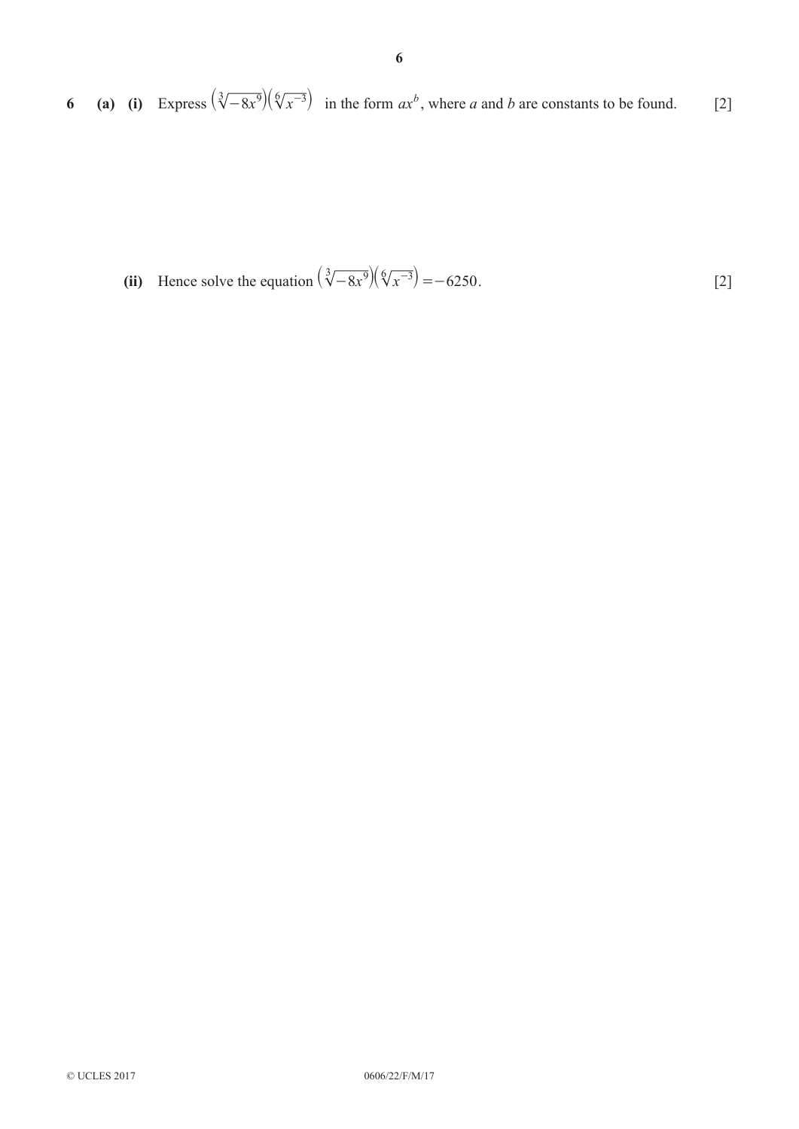**6 (a) (i)** Express  $\left(\sqrt[3]{-8x^9}\right)\left(\sqrt[6]{x^{-3}}\right)$  in the form  $ax^b$ , where *a* and *b* are constants to be found. [2]

(ii) Hence solve the equation 
$$
\left(\sqrt[3]{-8x^9}\right)\left(\sqrt[6]{x^{-3}}\right) = -6250.
$$
 [2]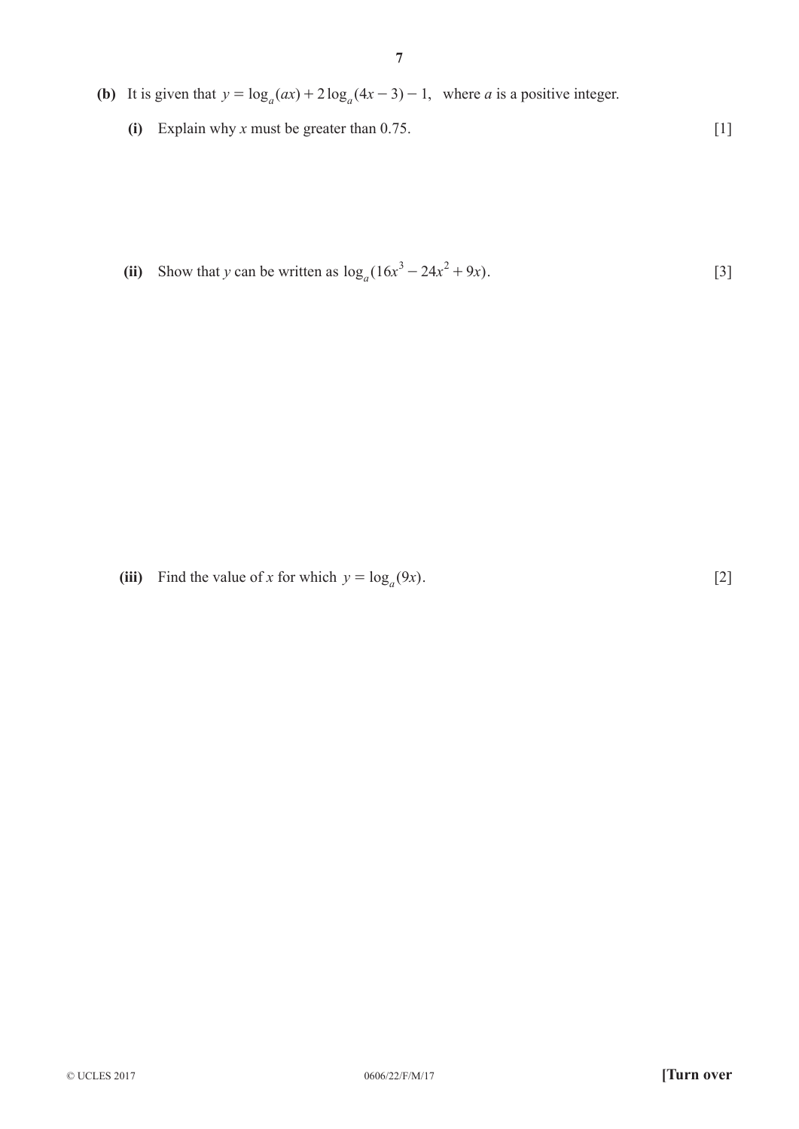- **(b)** It is given that  $y = log_a(ax) + 2 log_a(4x 3) 1$ , where *a* is a positive integer.
	- **(i)** Explain why *x* must be greater than 0.75. [1]

**(ii)** Show that *y* can be written as  $\log_a(16x^3 - 24x^2 + 9x)$ . [3]

(iii) Find the value of *x* for which  $y = log_a(9x)$ . [2]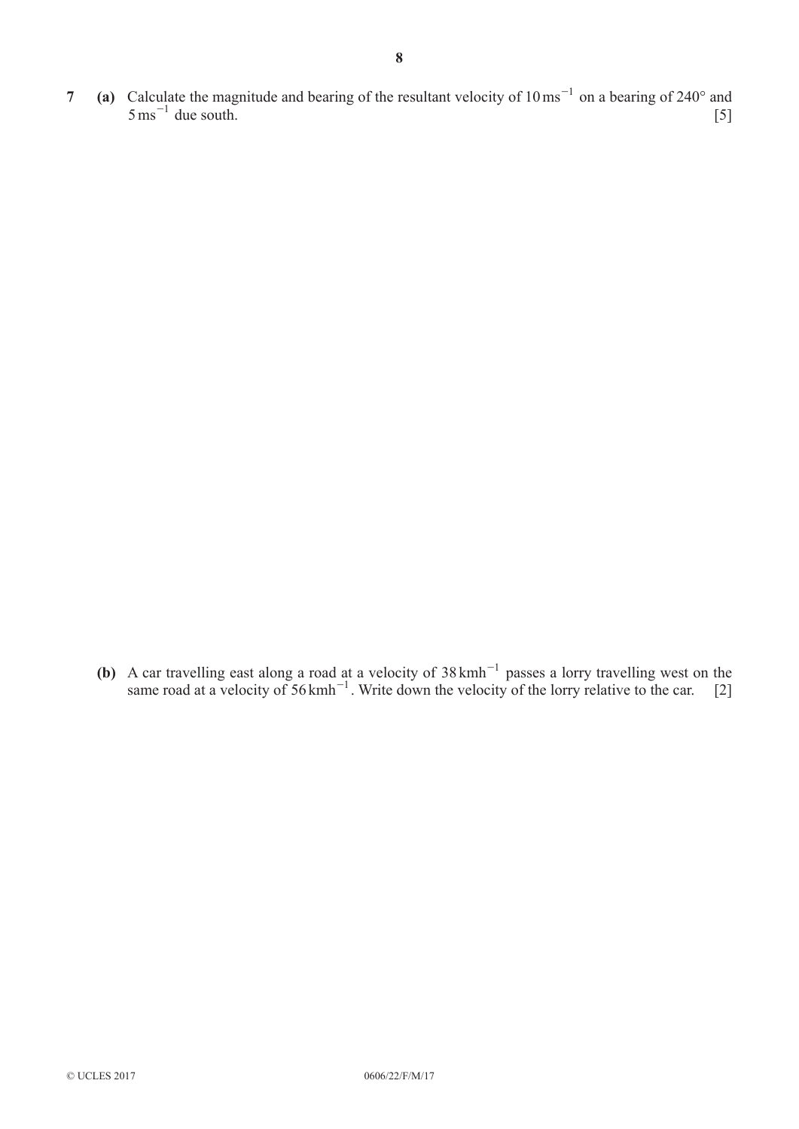**7 (a)** Calculate the magnitude and bearing of the resultant velocity of  $10 \text{ ms}^{-1}$  on a bearing of  $240^\circ$  and  $5 \text{ ms}^{-1}$  due south. [5]

(b) A car travelling east along a road at a velocity of  $38 \text{ kmh}^{-1}$  passes a lorry travelling west on the same road at a velocity of 56 kmh<sup>-1</sup>. Write down the velocity of the lorry relative to the car. [2]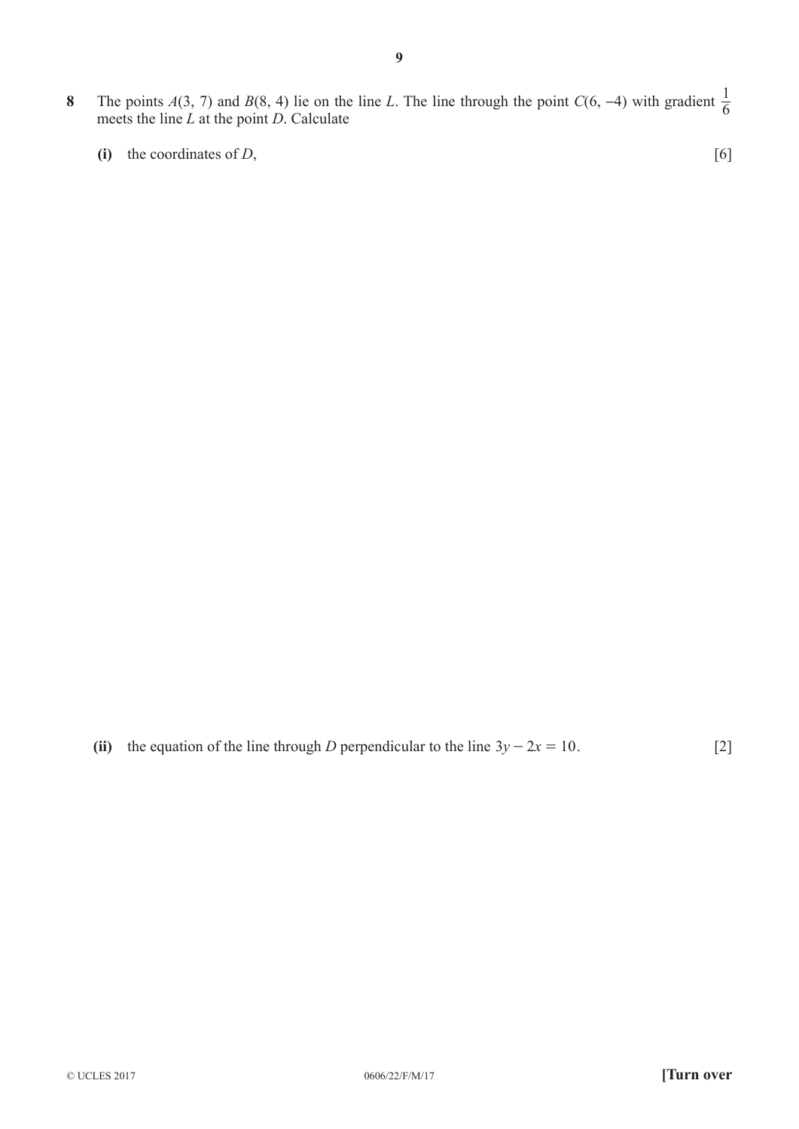- **8** The points *A*(3, 7) and *B*(8, 4) lie on the line *L*. The line through the point *C*(6, −4) with gradient  $\frac{1}{6}$  mosts the line *L* at the point *D*. Celevista meets the line *L* at the point *D*. Calculate
	- **(i)** the coordinates of *D*,  $[6]$

(ii) the equation of the line through *D* perpendicular to the line  $3y - 2x = 10$ . [2]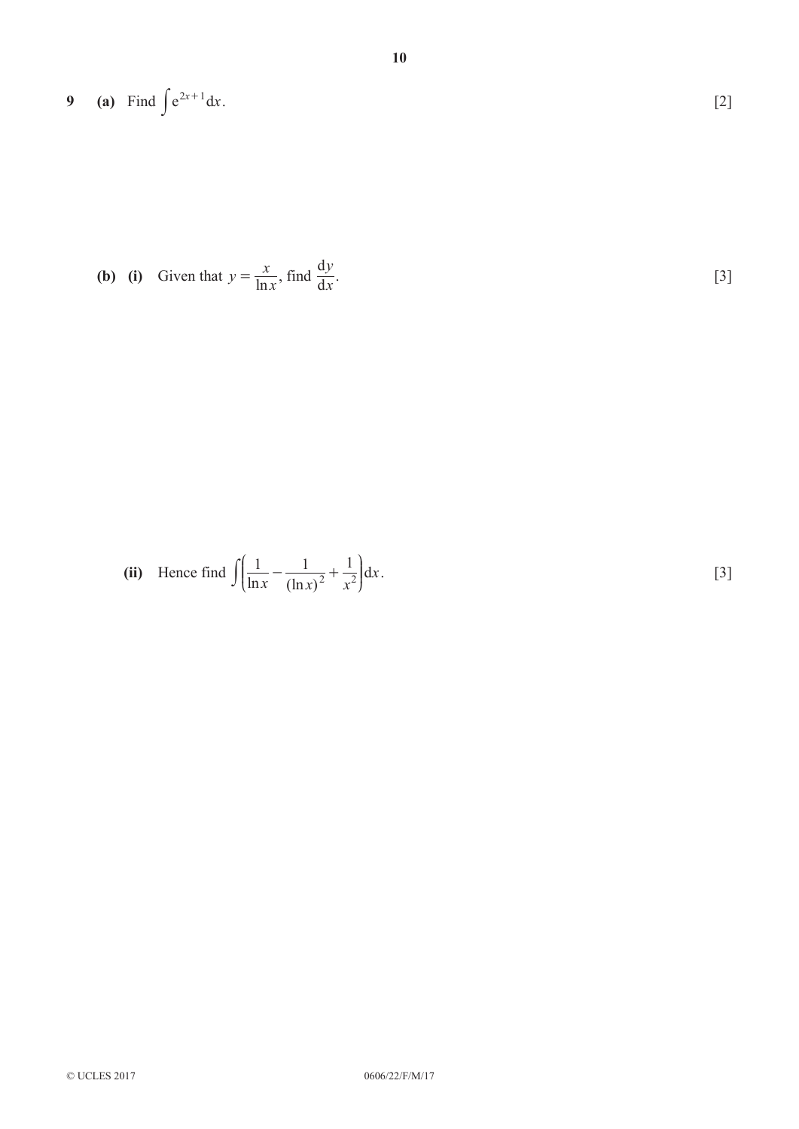**9** (a) Find 
$$
\int e^{2x+1} dx
$$
. [2]

**(b)** (i) Given that 
$$
y = \frac{x}{\ln x}
$$
, find  $\frac{dy}{dx}$ 

(ii) Hence find 
$$
\int \left( \frac{1}{\ln x} - \frac{1}{(\ln x)^2} + \frac{1}{x^2} \right) dx
$$
. [3]

.  $[3]$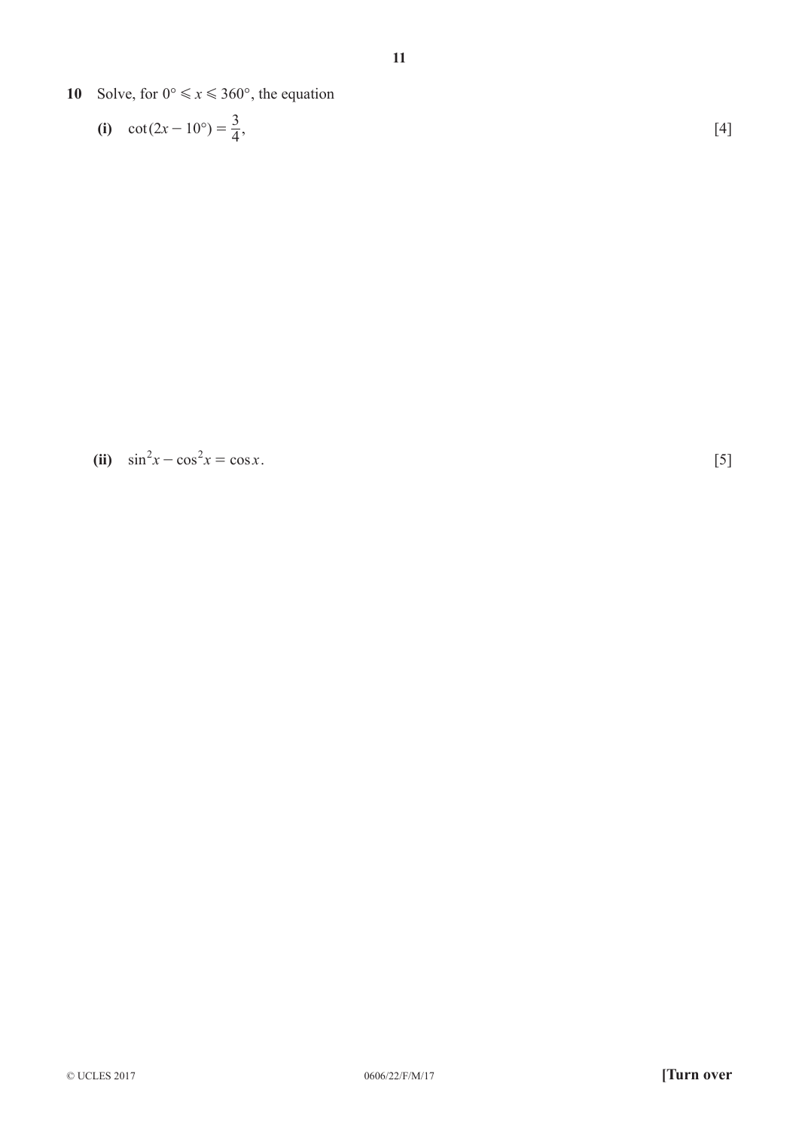- **10** Solve, for  $0^\circ \le x \le 360^\circ$ , the equation
	- (i)  $\cot(2x 10^{\circ}) = \frac{3}{4}$ , [4]

**(ii)**  $\sin^2 x - \cos^2 x = \cos x$ . [5]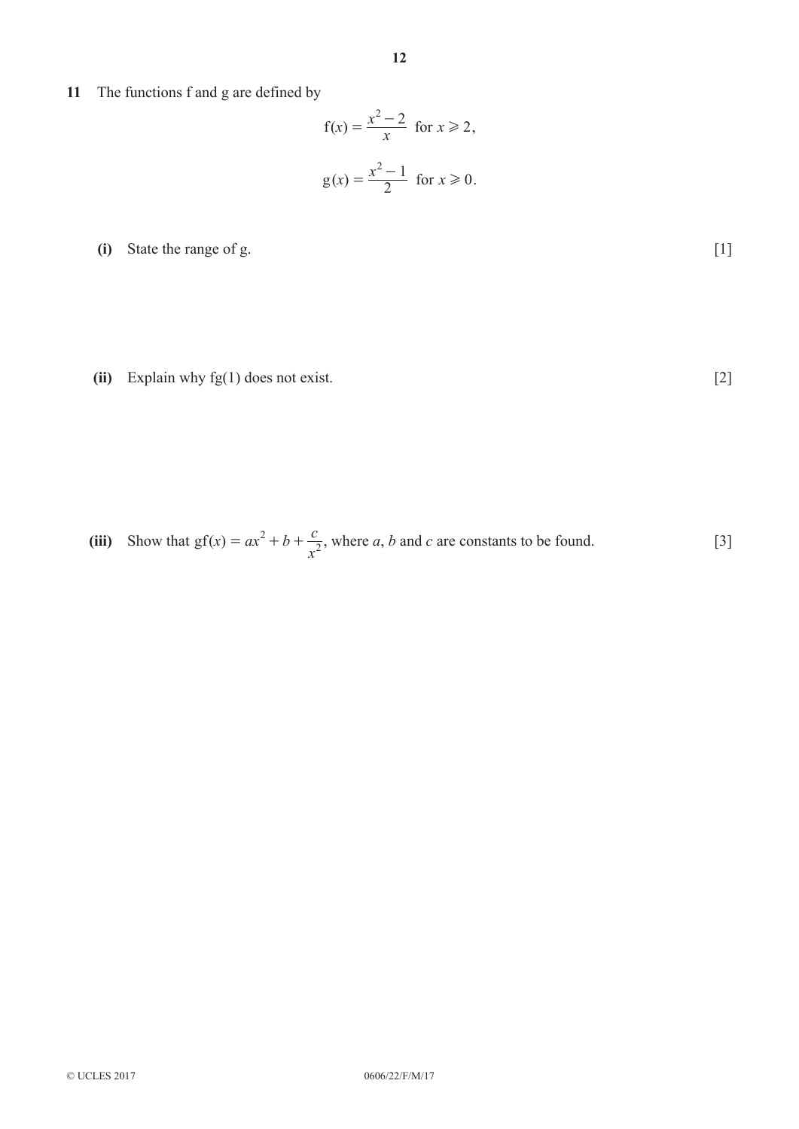**11** The functions f and g are defined by

$$
f(x) = \frac{x^2 - 2}{x} \text{ for } x \ge 2,
$$
  

$$
g(x) = \frac{x^2 - 1}{2} \text{ for } x \ge 0.
$$

**(i)** State the range of g. [1]

**(ii)** Explain why fg(1) does not exist. [2]

(iii) Show that  $gf(x) = ax^2 + b$  $= ax^2 + b + \frac{c}{x^2}$ , where *a*, *b* and *c* are constants to be found. [3]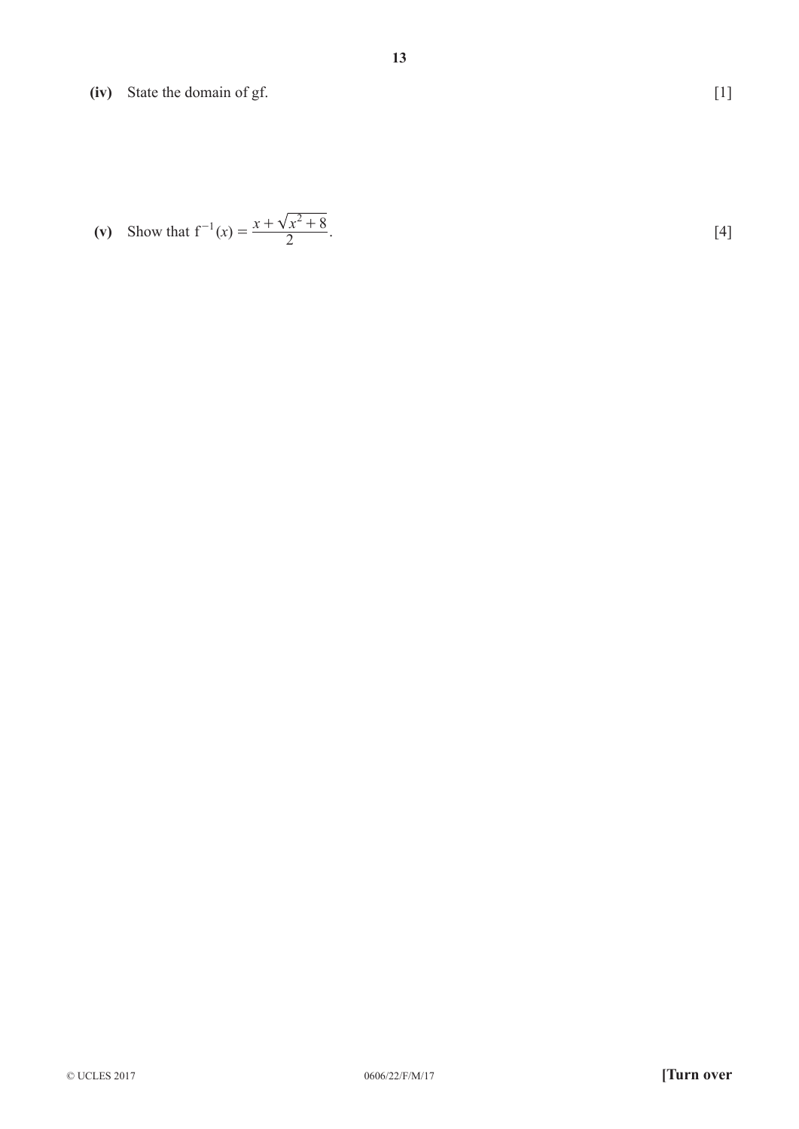**(iv)** State the domain of gf. [1]

(v) Show that 
$$
f^{-1}(x) = \frac{x + \sqrt{x^2 + 8}}{2}
$$
. [4]

© UCLES 2017 0606/22/F/M/17 **[Turn over**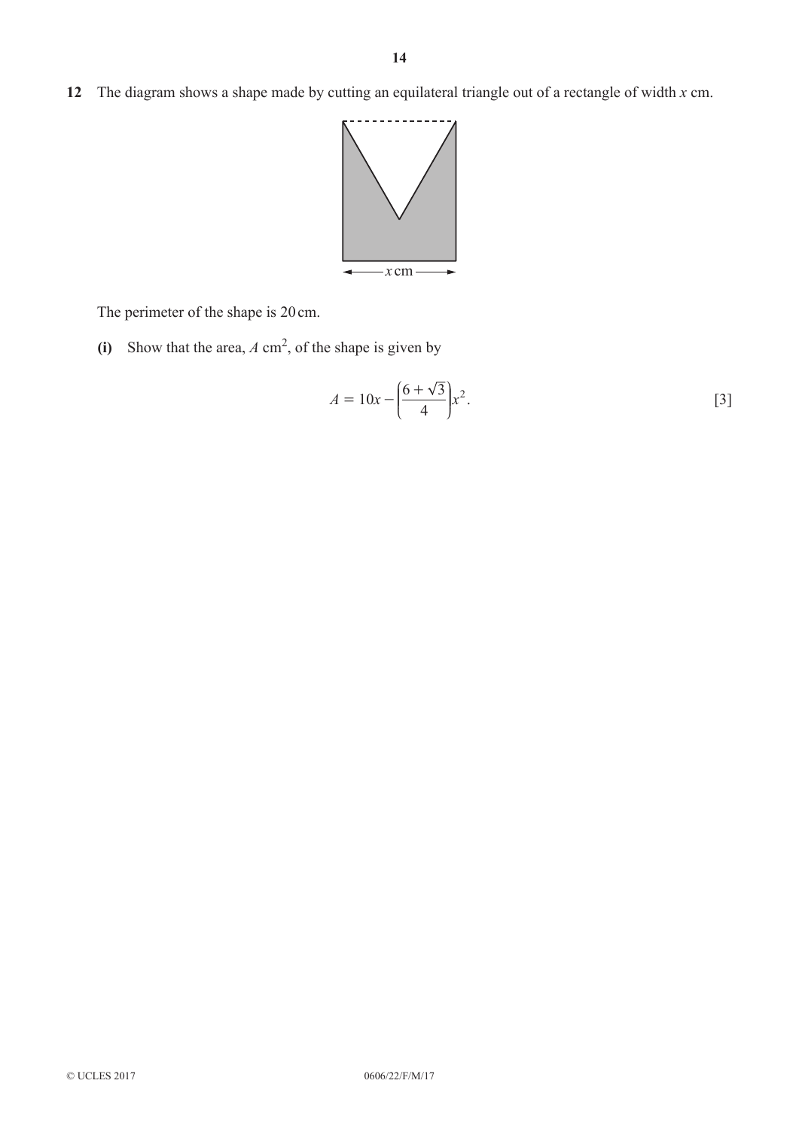**12** The diagram shows a shape made by cutting an equilateral triangle out of a rectangle of width *x* cm.



The perimeter of the shape is 20cm.

**(i)** Show that the area, *A* cm2, of the shape is given by

$$
A = 10x - \left(\frac{6 + \sqrt{3}}{4}\right)x^2.
$$
 [3]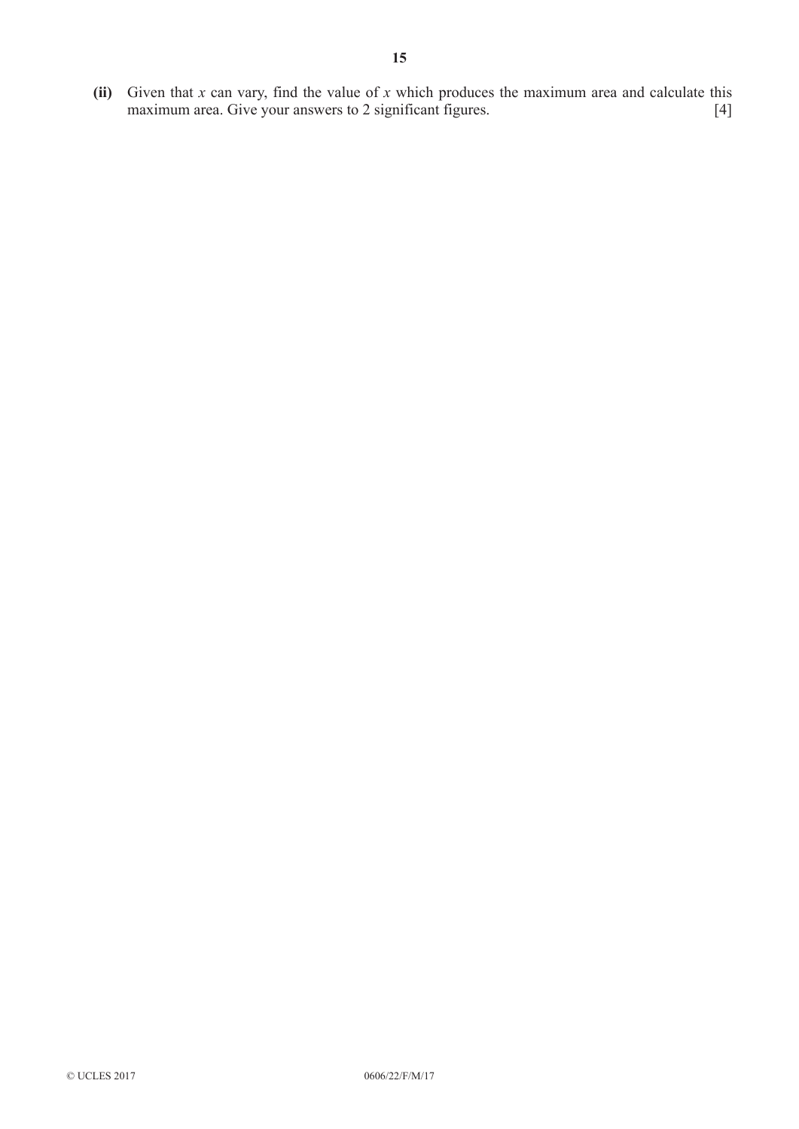**(ii)** Given that *x* can vary, find the value of *x* which produces the maximum area and calculate this maximum area. Give your answers to 2 significant figures. [4]